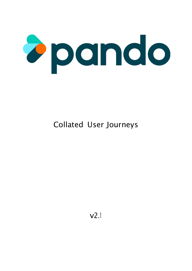

## Collated User Journeys

v2.1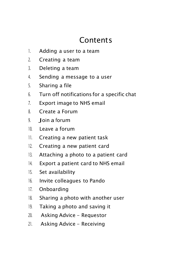## Contents

- 1. Adding a user to a team
- 2. Creating a team
- 3. Deleting a team
- 4. Sending a message to a user
- 5. Sharing a file
- 6. Turn off notifications for a specific chat
- 7. Export image to NHS email
- 8. Create a Forum
- 9. Join a forum
- 10. Leave a forum
- 11. Creating a new patient task
- 12. Creating a new patient card
- 13. Attaching a photo to a patient card
- 14. Export a patient card to NHS email
- 15. Set availability
- 16. Invite colleagues to Pando
- 17. Onboarding
- 18. Sharing a photo with another user
- 19. Taking a photo and saving it
- 20. Asking Advice Requestor
- 21. Asking Advice Receiving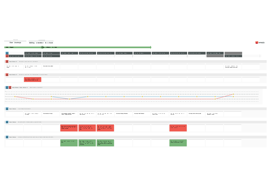| PROJECT<br><b>User Joumeys</b>                |                                                                               | JOURNEY MAP<br>Adding a member to a team     |                                                                                                                                       |                                                                                                                                         |                                |                                |                             |                                 |                                                                   |                               |                                            |                                                         | $\sim$ smaply |
|-----------------------------------------------|-------------------------------------------------------------------------------|----------------------------------------------|---------------------------------------------------------------------------------------------------------------------------------------|-----------------------------------------------------------------------------------------------------------------------------------------|--------------------------------|--------------------------------|-----------------------------|---------------------------------|-------------------------------------------------------------------|-------------------------------|--------------------------------------------|---------------------------------------------------------|---------------|
| Inifial Request                               |                                                                               | Adding a Member to a team                    |                                                                                                                                       |                                                                                                                                         |                                |                                |                             |                                 |                                                                   |                               |                                            |                                                         |               |
|                                               |                                                                               |                                              |                                                                                                                                       |                                                                                                                                         |                                |                                |                             |                                 |                                                                   |                               |                                            |                                                         |               |
| water to join a great the                     | the lankel to lette a othera<br>the als a citing a to inite the               | the factors the ap-<br>the with to be offer. |                                                                                                                                       | the tips or the time they wish.                                                                                                         | The tip in the time and of the | The top Empt Embry             | ter op at Keter             | The section for the new they in | . The top the plan area and the                                   |                               | the nion to the Hongs - Hen                | the noises addication the hu                            |               |
| Pando Clinician B PANDO CLINICIAN B'S JOURNEY |                                                                               |                                              |                                                                                                                                       |                                                                                                                                         |                                |                                |                             |                                 |                                                                   |                               |                                            |                                                         |               |
| the exist to job a graph on<br><b>Bando</b>   | the six a clinger to left.<br>the to a ten                                    | Userwaits to be added                        |                                                                                                                                       |                                                                                                                                         |                                |                                |                             |                                 |                                                                   |                               |                                            | the noires adilation the<br>have been added to the team |               |
|                                               | Paneo Clinician B PANDO CLINICIAN B'S PROBLEMS & QUESTIONS                    |                                              |                                                                                                                                       |                                                                                                                                         |                                |                                |                             |                                 |                                                                   |                               |                                            |                                                         |               |
|                                               | The firmatic in Separation of plans<br>group formally through the app         |                                              |                                                                                                                                       |                                                                                                                                         |                                |                                |                             |                                 |                                                                   |                               |                                            |                                                         |               |
|                                               | <b>Q</b> Pando Clinician / Pando Clinician B EMOTION ALJOURNEY                |                                              |                                                                                                                                       |                                                                                                                                         |                                |                                |                             |                                 |                                                                   |                               |                                            |                                                         |               |
|                                               |                                                                               |                                              |                                                                                                                                       |                                                                                                                                         |                                |                                |                             |                                 |                                                                   |                               |                                            |                                                         |               |
|                                               |                                                                               |                                              |                                                                                                                                       |                                                                                                                                         |                                |                                |                             |                                 |                                                                   |                               |                                            |                                                         |               |
|                                               | ------- <del>---</del>                                                        |                                              |                                                                                                                                       |                                                                                                                                         |                                |                                |                             |                                 |                                                                   |                               |                                            | ---------                                               |               |
|                                               |                                                                               |                                              |                                                                                                                                       |                                                                                                                                         |                                |                                |                             |                                 |                                                                   |                               |                                            |                                                         |               |
| Pando Clinician CUSTOMERJOURNEY               |                                                                               |                                              |                                                                                                                                       |                                                                                                                                         |                                |                                |                             |                                 |                                                                   |                               |                                            |                                                         |               |
|                                               | Use is slet to lette a otherax.<br>to a team                                  | User launches the app                        | Uservalidates touchID / faceID /<br>enters 4 digit passcode                                                                           | Use taps on the team they wish to . User taps on the team name at the addition summer to the series                                     |                                | <b>Usertaps Manage Members</b> | <b>Usertaps Add Members</b> |                                 | the top the plan areas and to<br>the user                         | Usertaps Add in the top right | for stess to the finite.<br>Members screen |                                                         |               |
|                                               | Pando Clinician PAIN POINTS : PROBLEMS & QUESTIONS                            |                                              |                                                                                                                                       |                                                                                                                                         |                                |                                |                             |                                 |                                                                   |                               |                                            |                                                         |               |
|                                               |                                                                               |                                              | Every time you spend more than 5 sints of $d$ the appropriate to validate touchild                                                    | If the term $\,$ has not been used $\,$ recentl $y_{\alpha}$ . The user $\,$ will need to see the term $\,$ , taking $\,$ more<br>time. | feature                        |                                |                             |                                 | An erec is self as an in hel-<br>to pass consist of you           |                               |                                            |                                                         |               |
|                                               |                                                                               |                                              |                                                                                                                                       |                                                                                                                                         |                                |                                |                             |                                 |                                                                   |                               |                                            |                                                         |               |
|                                               | <b>R</b> Pando Clinician ID EAS: O PPORTUNITIES AND SOLUTIONS FOR PAIN POINTS |                                              |                                                                                                                                       |                                                                                                                                         |                                |                                |                             |                                 |                                                                   |                               |                                            |                                                         |               |
|                                               |                                                                               |                                              | $\label{eq:1} \begin{array}{llll} \text{Kup} & \text{total 1} & \text{static 1} & \text{for new} \\ \text{time} & & & \\ \end{array}$ | integrantly and tons are mily<br>accessible                                                                                             | button                         |                                |                             |                                 | Also the postage of the order to<br>name, as well as the +/- icon |                               |                                            |                                                         |               |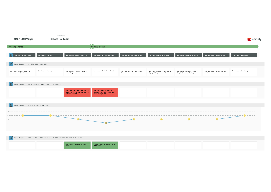| PROJECT                                                        | JOURNEYMAP                                         |                                                                                            |                                                                                               |                                                           |                                                              |                                                               |                                                         |                          |
|----------------------------------------------------------------|----------------------------------------------------|--------------------------------------------------------------------------------------------|-----------------------------------------------------------------------------------------------|-----------------------------------------------------------|--------------------------------------------------------------|---------------------------------------------------------------|---------------------------------------------------------|--------------------------|
| User Journeys                                                  | Create a Team                                      |                                                                                            |                                                                                               |                                                           |                                                              |                                                               |                                                         | $\sim$ smaply            |
| <b>Opening Pando</b>                                           |                                                    |                                                                                            | <b>A C</b><br><b>Creating a Team</b>                                                          |                                                           |                                                              |                                                               |                                                         |                          |
| User wants to create a team                                    | User launches the app                              | User validates touch ID / faceID $/$                                                       | User locates the 'Add Team' but                                                               | User adds the Team name in the                            | User adds members to the team                                | User locates colleagues to add t                              | User taps Create to finish the te                       | Team opens automatically |
| Pando Clinician                                                | CUSTOMERJOURNEY                                    |                                                                                            |                                                                                               |                                                           |                                                              |                                                               |                                                         |                          |
| User wants to create a team to<br>communicate with other users | User launches the app                              | User validates touch ID / face ID /<br>enters 4 digit passcode                             | User locates the 'Add Team' button                                                            | User adds the Team name in the<br>'Team name'<br>text box | User adds members to the team by<br>tapping 'Manage Members' | User locates colleagues to add<br>through the Pando Directory | User taps Create to finish the team<br>creation process | Team opens automatically |
|                                                                |                                                    |                                                                                            |                                                                                               |                                                           |                                                              |                                                               |                                                         |                          |
| Pando Clinician                                                | PAIN POINTS: PROBLEMS & QUESTIONS                  |                                                                                            |                                                                                               |                                                           |                                                              |                                                               |                                                         |                          |
|                                                                |                                                    | Every time you spend more than 5<br>minutes out of the app you have to<br>validate touchID | 'Add Team' button is small and<br>positioned very close to the 'Add<br>Direct Message' button |                                                           |                                                              |                                                               |                                                         |                          |
|                                                                |                                                    |                                                                                            |                                                                                               |                                                           |                                                              |                                                               |                                                         |                          |
| Pando Clinician                                                | EMOTIONAL JOURNEY                                  |                                                                                            |                                                                                               |                                                           |                                                              |                                                               |                                                         |                          |
|                                                                |                                                    |                                                                                            |                                                                                               |                                                           |                                                              |                                                               |                                                         |                          |
|                                                                |                                                    |                                                                                            |                                                                                               |                                                           |                                                              |                                                               |                                                         |                          |
|                                                                |                                                    |                                                                                            |                                                                                               |                                                           |                                                              |                                                               |                                                         |                          |
|                                                                |                                                    |                                                                                            | ------ <del>---</del> U <del>ran-------</del> -                                               |                                                           |                                                              |                                                               |                                                         |                          |
|                                                                |                                                    |                                                                                            |                                                                                               |                                                           |                                                              |                                                               |                                                         |                          |
|                                                                |                                                    |                                                                                            |                                                                                               |                                                           |                                                              |                                                               |                                                         |                          |
|                                                                |                                                    |                                                                                            |                                                                                               |                                                           |                                                              |                                                               |                                                         |                          |
| Pando Clinician                                                | IDEAS: OPPORTUNITIES AND SOLUTIONS FOR PAIN POINTS |                                                                                            |                                                                                               |                                                           |                                                              |                                                               |                                                         |                          |
|                                                                |                                                    | Keep touch ID activated for more                                                           | + symbol could be replaced by an<br>"Add" button                                              |                                                           |                                                              |                                                               |                                                         |                          |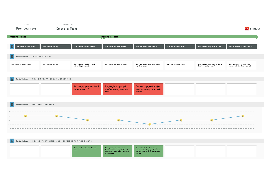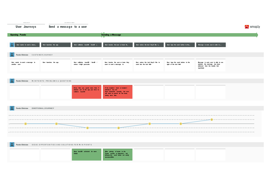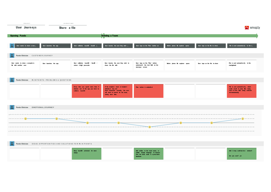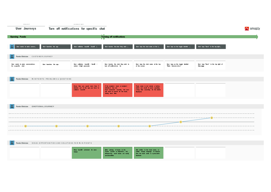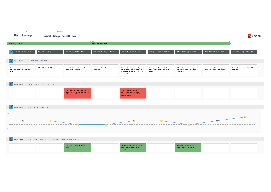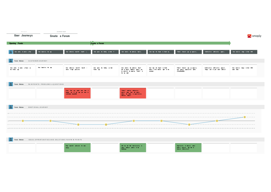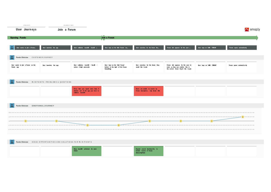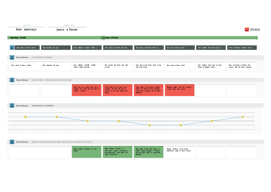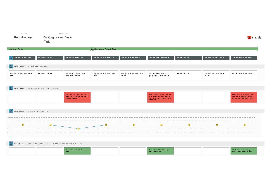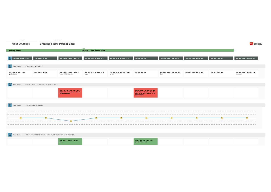| PR OJECT                                        | JOURNEY MAP                                                                              |                                                    |                                   |                                                                                                                                 |                                  |                                 |                        |                                                |
|-------------------------------------------------|------------------------------------------------------------------------------------------|----------------------------------------------------|-----------------------------------|---------------------------------------------------------------------------------------------------------------------------------|----------------------------------|---------------------------------|------------------------|------------------------------------------------|
| <b>User Journeys</b>                            | <b>Creating a new Patient Card</b>                                                       |                                                    |                                   |                                                                                                                                 |                                  |                                 |                        | $\land$ smaply                                 |
| <b>Opening Pando</b>                            |                                                                                          | $\mathbf{A}$<br><b>Creating a new Patient Card</b> |                                   |                                                                                                                                 |                                  |                                 |                        |                                                |
| User wants to create a new                      | User launches the app<br>User validates touchID / faceID /                               | User taps List at the bottom of th                 | User taps on the plus button in t | User taps More Info                                                                                                             | User enters Patient name into te | User enters Notes into text box | User taps Patient Info | User adds Pafient information in               |
| C linici a n                                    | CUSTOMER JOURNEY                                                                         |                                                    |                                   |                                                                                                                                 |                                  |                                 |                        |                                                |
| User wants to<br>create<br>o nou<br>patient can | User validates touch ID / faceID<br>User launches<br>the ar<br>enters 4 digit passcode   | User tap<br>page                                   | User<br>top right                 |                                                                                                                                 | User enters<br>box               |                                 | User taps Patient Info | User adds Patient information into<br>texboxes |
|                                                 |                                                                                          |                                                    |                                   |                                                                                                                                 |                                  |                                 |                        |                                                |
| Clinici a n                                     | PAIN POINTS : PROBLEMS & QUESTIONS                                                       |                                                    |                                   |                                                                                                                                 |                                  |                                 |                        |                                                |
|                                                 | Every time you spend more than<br>minutes out of the app you have to<br>validate touchID |                                                    |                                   | Wording implies the name will need<br>to be entered only once, while the<br>name on the task is separate to the<br>patient name |                                  |                                 |                        |                                                |
|                                                 |                                                                                          |                                                    |                                   |                                                                                                                                 |                                  |                                 |                        |                                                |
| Clinici a n                                     | EM OTION AL JO URNEY                                                                     |                                                    |                                   |                                                                                                                                 |                                  |                                 |                        |                                                |
|                                                 |                                                                                          |                                                    |                                   |                                                                                                                                 |                                  |                                 |                        |                                                |
|                                                 |                                                                                          |                                                    |                                   |                                                                                                                                 |                                  |                                 |                        |                                                |
|                                                 |                                                                                          |                                                    |                                   |                                                                                                                                 |                                  |                                 |                        |                                                |
|                                                 |                                                                                          |                                                    |                                   |                                                                                                                                 |                                  |                                 |                        |                                                |
| Clinici a n                                     | IDEAS: OPPORTUNITIES AND SOLUTIONS FOR PAIN POINTS                                       |                                                    |                                   |                                                                                                                                 |                                  |                                 |                        |                                                |
|                                                 | Keep touchID activated for more<br>time                                                  |                                                    |                                   | Change 'More Info' la<br>right to 'Patient Card'                                                                                |                                  |                                 |                        |                                                |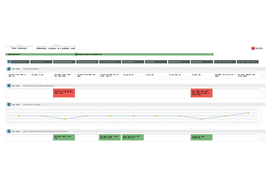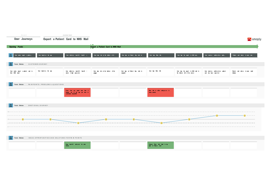| <b>PROJECT</b>                             |                                                    | <b>JOURNEYMAP</b>                                                                              |                                             |                                   |                                                 |                                 |                                    |                                         |
|--------------------------------------------|----------------------------------------------------|------------------------------------------------------------------------------------------------|---------------------------------------------|-----------------------------------|-------------------------------------------------|---------------------------------|------------------------------------|-----------------------------------------|
| <b>User Journeys</b>                       |                                                    | <b>Export a Patient Card to NHS Mail</b>                                                       |                                             |                                   |                                                 |                                 |                                    | $\sim$ smaply                           |
| <b>Opening Pando</b>                       |                                                    |                                                                                                | $\sim$<br>Export a Patient Card to NHS Mail |                                   |                                                 |                                 |                                    |                                         |
|                                            |                                                    |                                                                                                |                                             |                                   |                                                 |                                 |                                    |                                         |
| $\mathbf{Q}$<br>User wants export a patien | User launches the app                              | User validates touch ID / faceID $/$                                                           | User taps List at the bottom of th          | User taps on Patient they wish to | User taps More Info                             | User taps the export to NHS mai | User receives confirmation pafie   | Patient card arrives in users ema       |
|                                            |                                                    |                                                                                                |                                             |                                   |                                                 |                                 |                                    |                                         |
|                                            |                                                    |                                                                                                |                                             |                                   |                                                 |                                 |                                    |                                         |
| Pando Clinician<br>CUSTOMERJOURNEY         |                                                    |                                                                                                |                                             |                                   |                                                 |                                 |                                    |                                         |
| User<br>a patient card to<br>export        | User launches the app                              | User validates touch ID / face ID /                                                            | bottom of the<br>User                       | on Patient<br>User taps           | tans More Info                                  | NHS mail<br>export              | User receives confirmation patient | Patient<br>card<br>omiv o c<br>in users |
| their NHS                                  |                                                    | enters 4 digit passcode                                                                        | page                                        | export                            |                                                 | SCIP PT                         | has been<br>exported               | inbox                                   |
|                                            |                                                    |                                                                                                |                                             |                                   |                                                 |                                 |                                    |                                         |
|                                            |                                                    |                                                                                                |                                             |                                   |                                                 |                                 |                                    |                                         |
| Pando Clinician                            | PAIN POINTS: PROBLEMS & QUESTIONS                  |                                                                                                |                                             |                                   |                                                 |                                 |                                    |                                         |
|                                            |                                                    | Every time you spend more<br>than<br>minutes out of the app<br>you have to<br>validate touchID |                                             |                                   | More Info is a little ambiguous to<br>new users |                                 |                                    |                                         |
|                                            |                                                    |                                                                                                |                                             |                                   |                                                 |                                 |                                    |                                         |
|                                            |                                                    |                                                                                                |                                             |                                   |                                                 |                                 |                                    |                                         |
| Pando Clinician<br>EMOTIONAL JOURNEY       |                                                    |                                                                                                |                                             |                                   |                                                 |                                 |                                    |                                         |
|                                            |                                                    |                                                                                                |                                             |                                   |                                                 |                                 |                                    |                                         |
|                                            |                                                    |                                                                                                |                                             |                                   |                                                 |                                 |                                    |                                         |
|                                            |                                                    |                                                                                                |                                             |                                   |                                                 |                                 |                                    |                                         |
|                                            |                                                    |                                                                                                |                                             |                                   |                                                 |                                 |                                    |                                         |
|                                            |                                                    |                                                                                                |                                             |                                   |                                                 |                                 |                                    |                                         |
|                                            |                                                    |                                                                                                |                                             |                                   |                                                 |                                 |                                    |                                         |
|                                            |                                                    |                                                                                                |                                             |                                   |                                                 |                                 |                                    |                                         |
| Pando Clinician                            | IDEAS: OPPORTUNITIES AND SOLUTIONS FOR PAIN POINTS |                                                                                                |                                             |                                   |                                                 |                                 |                                    |                                         |
|                                            |                                                    |                                                                                                |                                             |                                   |                                                 |                                 |                                    |                                         |
|                                            |                                                    | Keep touch ID activated for more<br>time                                                       |                                             |                                   | Change 'More Info'<br>right to 'Patient Card'   |                                 |                                    |                                         |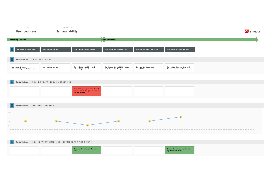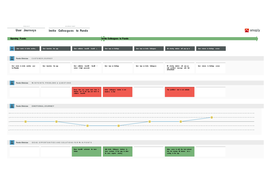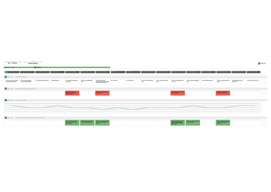| Download in a Pando                                             |                                                                              | A.M.<br><b>Onboarding</b>           |                              |                                                                                     |                                                                     |                                                                                            |               |                      |                                    |                                     |                                                                                              |                                                     |                              |                                                                                    |                                           |                               |
|-----------------------------------------------------------------|------------------------------------------------------------------------------|-------------------------------------|------------------------------|-------------------------------------------------------------------------------------|---------------------------------------------------------------------|--------------------------------------------------------------------------------------------|---------------|----------------------|------------------------------------|-------------------------------------|----------------------------------------------------------------------------------------------|-----------------------------------------------------|------------------------------|------------------------------------------------------------------------------------|-------------------------------------------|-------------------------------|
|                                                                 |                                                                              | <b>Der ges Reb forth first time</b> | Use top Oct Setel            | Use other their enal attress                                                        | XXS cars are directed to XXS S                                      | <b>Cars tids ages</b> to the Acopta                                                        | the cota Rt   | <b>Dar cettes 20</b> | Der is sied to eder their first    | . User is stad to educ their last a | the lankel toutet this six.                                                                  | User enters their speciality (free                  | User select their ergonazion | Use is add to other that make                                                      | holds consists soon, we gu                | The seles on the dat none     |
| $\boxed{D}$ and $D$                                             | <b>CUSTOMERJOURNEY</b>                                                       |                                     |                              |                                                                                     |                                                                     |                                                                                            |               |                      |                                    |                                     |                                                                                              |                                                     |                              |                                                                                    |                                           |                               |
| User hears of Pands, ons invited<br>to join Pando by acolleague | User opens their phones ap-<br>ators, and downloads Pardo                    | User opens Panto for thefirst time  | <b>User taps Get Started</b> | User enters their emil adlress<br>into the app                                      | NHS users are dieded to NHS<br>880                                  | Users ticks agreeto the<br>Acceptable Use Polcy and Privacy<br>Policy, then presses Accept | User create R | User confirms RN     | User is asket to enter their first | User is asked to enter their lat    | User is asked to select their rde<br>from a list                                             | User enters their speciality/free-<br>texth         | User select the romisation   | User is asked toenter their mobile<br>numbe                                        | Rofilecompletescreen user<br>presses stat | User anives onthe clut screen |
|                                                                 |                                                                              |                                     |                              |                                                                                     |                                                                     |                                                                                            |               |                      |                                    |                                     |                                                                                              |                                                     |                              |                                                                                    |                                           |                               |
|                                                                 | has diste PAINPOINTS: PROBLEMS & QUESTIONS                                   |                                     |                              |                                                                                     |                                                                     |                                                                                            |               |                      |                                    |                                     |                                                                                              |                                                     |                              |                                                                                    |                                           |                               |
|                                                                 |                                                                              |                                     |                              | <b>Incorrectly entered email</b><br>addresses can slow down of<br>impede onboarding |                                                                     | <b>Tickboxes are smal and ide to</b><br>press first time                                   |               |                      |                                    |                                     | Limited number of plesin thelist.<br>no free text option                                     |                                                     |                              | Some users uncomorbite with<br>adding their phone number                           |                                           |                               |
|                                                                 |                                                                              |                                     |                              |                                                                                     |                                                                     |                                                                                            |               |                      |                                    |                                     |                                                                                              |                                                     |                              |                                                                                    |                                           |                               |
| <b>D</b> Ma Gisla EMOTIONALJOURNEY                              |                                                                              |                                     |                              |                                                                                     |                                                                     |                                                                                            |               |                      |                                    |                                     |                                                                                              |                                                     |                              |                                                                                    |                                           |                               |
|                                                                 | and the same of                                                              |                                     |                              |                                                                                     |                                                                     |                                                                                            |               |                      |                                    |                                     |                                                                                              |                                                     |                              |                                                                                    |                                           |                               |
|                                                                 |                                                                              |                                     |                              |                                                                                     |                                                                     |                                                                                            |               |                      |                                    |                                     |                                                                                              |                                                     |                              |                                                                                    |                                           |                               |
|                                                                 | <b>but</b> Disting <b>IDEAS: OPPORTUNITIES AND SOLUTIONS FOR PAIN POINTS</b> |                                     |                              |                                                                                     |                                                                     |                                                                                            |               |                      |                                    |                                     |                                                                                              |                                                     |                              |                                                                                    |                                           |                               |
|                                                                 |                                                                              |                                     |                              | Users can be asked to colim<br>their email address is correct<br>before entering    | <b>Familiar login experience shald</b><br>improve onboarding pocess | Allow the text labdlingthe tickbox<br>to be pressed as well as the<br>tickbox              |               |                      |                                    |                                     | New roles addedbased onuse:<br>feedback, but limited number<br>allows for uniformity between | Allows for customtext nd allowd<br>in previous step |                              | Increase visibility of the skp bitc<br>to alert users the step is not<br>sandatory |                                           |                               |

 $\curvearrowright$  smaply

User Journeys

**Onboarding**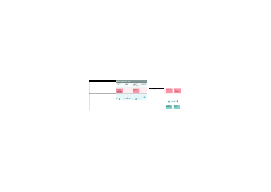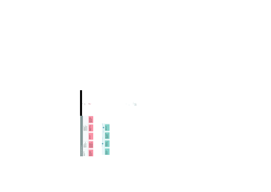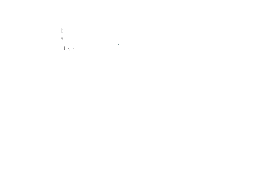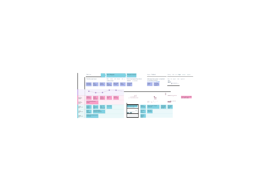